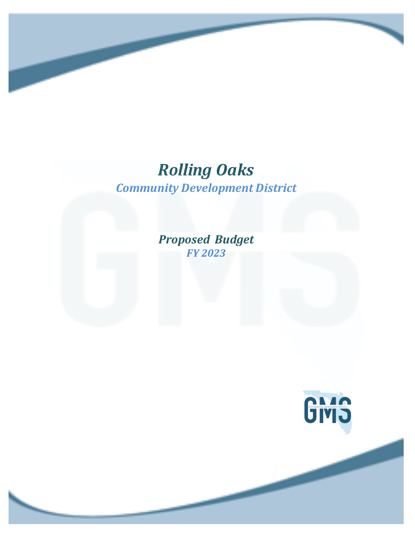# *Rolling Oaks Community Development District*

*Proposed Budget FY 2023*

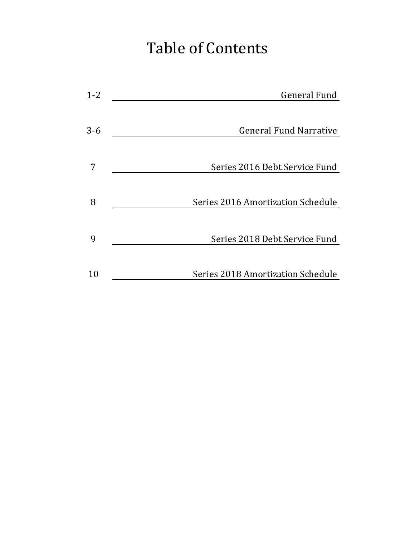# Table of Contents

| $1 - 2$<br><b>General Fund</b>           |  |
|------------------------------------------|--|
| $3 - 6$<br><b>General Fund Narrative</b> |  |
|                                          |  |
| Series 2016 Debt Service Fund            |  |
| Series 2016 Amortization Schedule<br>8   |  |
|                                          |  |
| Series 2018 Debt Service Fund<br>9       |  |
| Series 2018 Amortization Schedule<br>10  |  |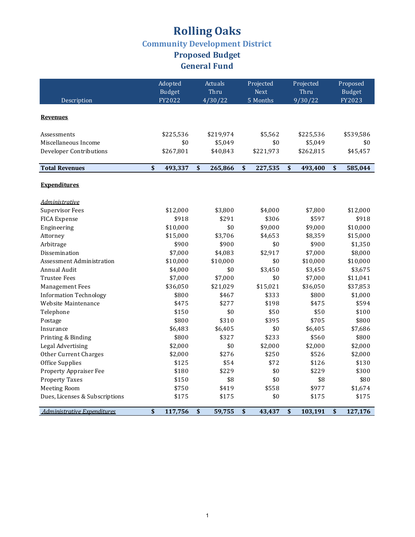### **Rolling Oaks Community Development District Proposed Budget** General Fund

|                                  | Adopted       | Actuals                              | Projected     | Projected     | Proposed      |
|----------------------------------|---------------|--------------------------------------|---------------|---------------|---------------|
|                                  | <b>Budget</b> | Thru                                 | <b>Next</b>   | Thru          | <b>Budget</b> |
| Description                      | FY2022        | 4/30/22                              | 5 Months      | 9/30/22       | FY2023        |
|                                  |               |                                      |               |               |               |
| <b>Revenues</b>                  |               |                                      |               |               |               |
| Assessments                      | \$225,536     | \$219,974                            | \$5,562       | \$225,536     | \$539,586     |
| Miscellaneous Income             | \$0           | \$5,049                              | \$0           | \$5,049       | \$0           |
| <b>Developer Contributions</b>   | \$267,801     | \$40,843                             | \$221,973     | \$262,815     | \$45,457      |
|                                  |               |                                      |               |               |               |
| <b>Total Revenues</b>            | \$<br>493,337 | $\boldsymbol{\mathsf{s}}$<br>265,866 | \$<br>227,535 | \$<br>493,400 | \$<br>585,044 |
|                                  |               |                                      |               |               |               |
| <b>Expenditures</b>              |               |                                      |               |               |               |
| <i>Administrative</i>            |               |                                      |               |               |               |
| <b>Supervisor Fees</b>           | \$12,000      | \$3,800                              | \$4,000       | \$7,800       | \$12,000      |
| <b>FICA Expense</b>              | \$918         | \$291                                | \$306         | \$597         | \$918         |
| Engineering                      | \$10,000      | \$0                                  | \$9,000       | \$9,000       | \$10,000      |
| Attorney                         | \$15,000      | \$3,706                              | \$4,653       | \$8,359       | \$15,000      |
| Arbitrage                        | \$900         | \$900                                | \$0           | \$900         | \$1,350       |
| Dissemination                    | \$7,000       | \$4,083                              | \$2,917       | \$7,000       | \$8,000       |
| <b>Assessment Administration</b> | \$10,000      | \$10,000                             | \$0           | \$10,000      | \$10,000      |
| Annual Audit                     | \$4,000       | \$0                                  | \$3,450       | \$3,450       | \$3,675       |
| <b>Trustee Fees</b>              | \$7,000       | \$7,000                              | \$0           | \$7,000       | \$11,041      |
| <b>Management Fees</b>           | \$36,050      | \$21,029                             | \$15,021      | \$36,050      | \$37,853      |
| <b>Information Technology</b>    | \$800         | \$467                                | \$333         | \$800         | \$1,000       |
| Website Maintenance              | \$475         | \$277                                | \$198         | \$475         | \$594         |
| Telephone                        | \$150         | \$0                                  | \$50          | \$50          | \$100         |
| Postage                          | \$800         | \$310                                | \$395         | \$705         | \$800         |
| Insurance                        | \$6,483       | \$6,405                              | \$0           | \$6,405       | \$7,686       |
| Printing & Binding               | \$800         | \$327                                | \$233         | \$560         | \$800         |
| Legal Advertising                | \$2,000       | \$0                                  | \$2,000       | \$2,000       | \$2,000       |
| <b>Other Current Charges</b>     | \$2,000       | \$276                                | \$250         | \$526         | \$2,000       |
| Office Supplies                  | \$125         | \$54                                 | \$72          | \$126         | \$130         |
| Property Appraiser Fee           | \$180         | \$229                                | \$0           | \$229         | \$300         |
| <b>Property Taxes</b>            | \$150         | \$8                                  | \$0           | \$8           | \$80          |
| <b>Meeting Room</b>              | \$750         | \$419                                | \$558         | \$977         | \$1,674       |
| Dues, Licenses & Subscriptions   | \$175         | \$175                                | \$0           | \$175         | \$175         |
| Administrative Expenditures      | \$<br>117,756 | \$<br>59,755                         | \$<br>43,437  | \$<br>103,191 | \$<br>127,176 |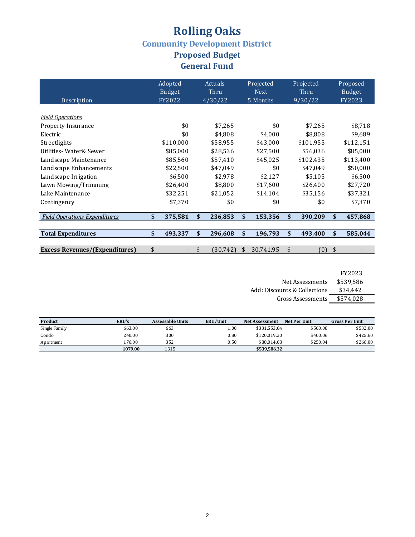### **Rolling Oaks Community Development District Proposed Budget** General Fund

| Description                           | Adopted<br><b>Budget</b><br>FY2022 | Actuals<br>Thru<br>4/30/22 | Projected<br><b>Next</b><br>5 Months | Projected<br>Thru<br>9/30/22 | Proposed<br><b>Budget</b><br>FY2023 |
|---------------------------------------|------------------------------------|----------------------------|--------------------------------------|------------------------------|-------------------------------------|
|                                       |                                    |                            |                                      |                              |                                     |
| <b>Field Operations</b>               |                                    |                            |                                      |                              |                                     |
| <b>Property Insurance</b>             | \$0                                | \$7,265                    | \$0                                  | \$7,265                      | \$8,718                             |
| Electric                              | \$0                                | \$4,808                    | \$4,000                              | \$8,808                      | \$9,689                             |
| Streetlights                          | \$110,000                          | \$58,955                   | \$43,000                             | \$101,955                    | \$112,151                           |
| Utilities- Water& Sewer               | \$85,000                           | \$28,536                   | \$27,500                             | \$56,036                     | \$85,000                            |
| Landscape Maintenance                 | \$85,560                           | \$57,410                   | \$45,025                             | \$102,435                    | \$113,400                           |
| Landscape Enhancements                | \$22,500                           | \$47,049                   | \$0                                  | \$47,049                     | \$50,000                            |
| Landscape Irrigation                  | \$6,500                            | \$2,978                    | \$2,127                              | \$5,105                      | \$6,500                             |
| Lawn Mowing/Trimming                  | \$26,400                           | \$8,800                    | \$17,600                             | \$26,400                     | \$27,720                            |
| Lake Maintenance                      | \$32,251                           | \$21,052                   | \$14,104                             | \$35,156                     | \$37,321                            |
| Contingency                           | \$7.370                            | \$0                        | \$0                                  | \$0                          | \$7,370                             |
| <b>Field Operations Expenditures</b>  | \$<br>375,581                      | \$<br>236,853              | \$<br>153,356                        | \$<br>390,209                | \$<br>457,868                       |
|                                       |                                    |                            |                                      |                              |                                     |
| <b>Total Expenditures</b>             | \$<br>493,337                      | \$<br>296,608              | \$<br>196,793                        | \$<br>493,400                | \$<br>585,044                       |
|                                       |                                    |                            |                                      |                              |                                     |
| <b>Excess Revenues/(Expenditures)</b> | \$<br>$\overline{\phantom{a}}$     | \$<br>(30, 742)            | \$<br>30,741.95                      | \$<br>(0)                    | \$                                  |

FY2023

| Net Assessments              | \$539.586 |
|------------------------------|-----------|
| Add: Discounts & Collections | \$34.442  |
| Gross Assessments            | \$574,028 |

| Product       | ERU's   | <b>Assessable Units</b> | ERU/Unit | Net Per Unit<br><b>Net Assessment</b> |          |          |  | <b>Gross Per Unit</b> |
|---------------|---------|-------------------------|----------|---------------------------------------|----------|----------|--|-----------------------|
| Single Family | 663.00  | 663                     | $1.00\,$ | \$331.553.04                          | \$500.08 | \$532.00 |  |                       |
| Condo         | 240.00  | 300                     | 0.80     | \$120.019.20                          | \$400.06 | \$425.60 |  |                       |
| Apartment     | 176.00  | 352                     | 0.50     | \$88,014.08                           | \$250.04 | \$266.00 |  |                       |
|               | 1079.00 | 1315                    |          | \$539,586.32                          |          |          |  |                       |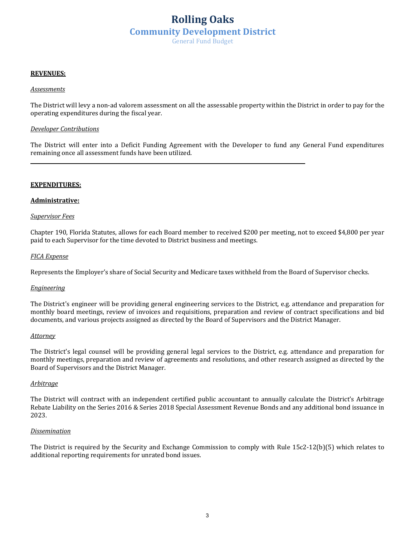### **Rolling Oaks Community Development District** General Fund Budget

### **REVENUES:**

### *Assessments*

The District will levy a non-ad valorem assessment on all the assessable property within the District in order to pay for the operating expenditures during the fiscal year.

### *Developer Contributions*

The District will enter into a Deficit Funding Agreement with the Developer to fund any General Fund expenditures remaining once all assessment funds have been utilized.

### **EXPENDITURES:**

### **Administrative:**

### *Supervisor Fees*

Chapter 190, Florida Statutes, allows for each Board member to received \$200 per meeting, not to exceed \$4,800 per year paid to each Supervisor for the time devoted to District business and meetings.

### *FICA Expense*

Represents the Employer's share of Social Security and Medicare taxes withheld from the Board of Supervisor checks.

### *Engineering*

The District's engineer will be providing general engineering services to the District, e.g. attendance and preparation for monthly board meetings, review of invoices and requisitions, preparation and review of contract specifications and bid documents, and various projects assigned as directed by the Board of Supervisors and the District Manager.

### *Attorney*

The District's legal counsel will be providing general legal services to the District, e.g. attendance and preparation for monthly meetings, preparation and review of agreements and resolutions, and other research assigned as directed by the Board of Supervisors and the District Manager.

### *Arbitrage*

The District will contract with an independent certified public accountant to annually calculate the District's Arbitrage Rebate Liability on the Series 2016 & Series 2018 Special Assessment Revenue Bonds and any additional bond issuance in 2023.

### *Dissemination*

The District is required by the Security and Exchange Commission to comply with Rule 15c2-12(b)(5) which relates to additional reporting requirements for unrated bond issues.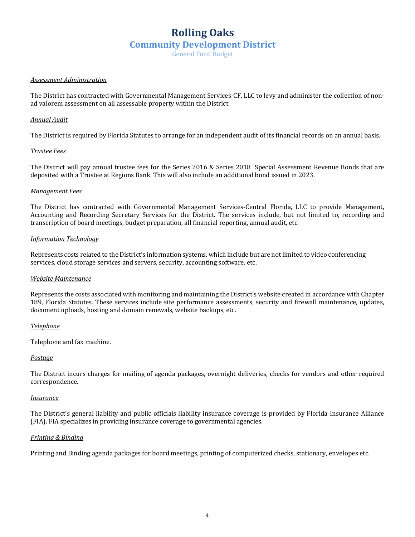### **Rolling Oaks Community Development District**

General Fund Budget

### *Assessment Administration*

The District has contracted with Governmental Management Services-CF, LLC to levy and administer the collection of nonad valorem assessment on all assessable property within the District.

### *Annual Audit*

The District is required by Florida Statutes to arrange for an independent audit of its financial records on an annual basis.

### *Trustee Fees*

The District will pay annual trustee fees for the Series 2016 & Series 2018 Special Assessment Revenue Bonds that are deposited with a Trustee at Regions Bank. This will also include an additional bond issued in 2023.

### *Management Fees*

The District has contracted with Governmental Management Services-Central Florida, LLC to provide Management, Accounting and Recording Secretary Services for the District. The services include, but not limited to, recording and transcription of board meetings, budget preparation, all financial reporting, annual audit, etc.

### *Information Technology*

Represents costs related to the District's information systems, which include but are not limited to video conferencing services, cloud storage services and servers, security, accounting software, etc.

### *Website Maintenance*

Represents the costs associated with monitoring and maintaining the District's website created in accordance with Chapter 189, Florida Statutes. These services include site performance assessments, security and firewall maintenance, updates, document uploads, hosting and domain renewals, website backups, etc.

*Telephone*

Telephone and fax machine.

### *Postage*

The District incurs charges for mailing of agenda packages, overnight deliveries, checks for vendors and other required correspondence.

### *Insurance*

The District's general liability and public officials liability insurance coverage is provided by Florida Insurance Alliance (FIA). FIA specializes in providing insurance coverage to governmental agencies.

### *Printing & Binding*

Printing and Binding agenda packages for board meetings, printing of computerized checks, stationary, envelopes etc.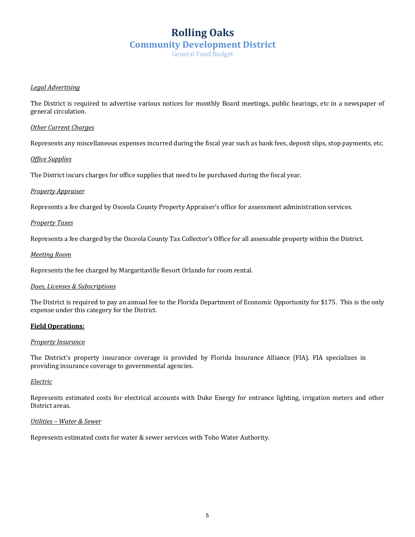### **Rolling Oaks Community Development District**

General Fund Budget

### *Legal Advertising*

The District is required to advertise various notices for monthly Board meetings, public hearings, etc in a newspaper of general circulation.

### *Other Current Charges*

Represents any miscellaneous expenses incurred during the fiscal year such as bank fees, deposit slips, stop payments, etc.

### *Office Supplies*

The District incurs charges for office supplies that need to be purchased during the fiscal year.

### *Property Appraiser*

Represents a fee charged by Osceola County Property Appraiser's office for assessment administration services.

### *Property Taxes*

Represents a fee charged by the Osceola County Tax Collector's Office for all assessable property within the District.

### *Meeting Room*

Represents the fee charged by Margaritaville Resort Orlando for room rental.

### **Dues, Licenses & Subscriptions**

The District is required to pay an annual fee to the Florida Department of Economic Opportunity for \$175. This is the only expense under this category for the District.

### **Field Operations:**

### **Property Insurance**

The District's property insurance coverage is provided by Florida Insurance Alliance (FIA). FIA specializes in providing insurance coverage to governmental agencies.

### *Electric*

Represents estimated costs for electrical accounts with Duke Energy for entrance lighting, irrigation meters and other District areas.

### *Utilities – Water & Sewer*

Represents estimated costs for water & sewer services with Toho Water Authority.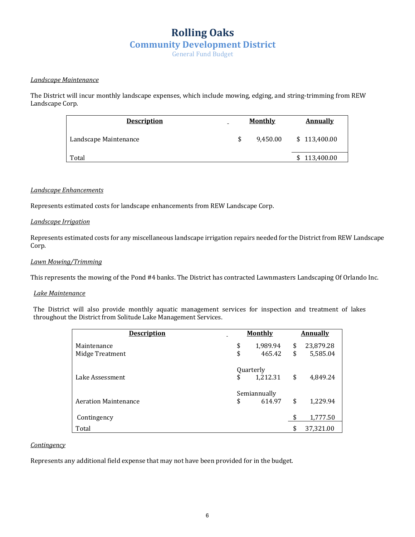### **Rolling Oaks Community Development District**

General Fund Budget

### *Landscape Maintenance*

The District will incur monthly landscape expenses, which include mowing, edging, and string-trimming from REW Landscape Corp.

| <b>Description</b>    | -  | <b>Monthly</b> | <b>Annually</b> |
|-----------------------|----|----------------|-----------------|
| Landscape Maintenance | \$ | 9.450.00       | \$113,400.00    |
| Total                 |    |                | \$113,400.00    |

### *Landscape Enhancements*

Represents estimated costs for landscape enhancements from REW Landscape Corp.

### *Landscape Irrigation*

Represents estimated costs for any miscellaneous landscape irrigation repairs needed for the District from REW Landscape Corp.

### *Lawn Mowing/Trimming*

This represents the mowing of the Pond #4 banks. The District has contracted Lawnmasters Landscaping Of Orlando Inc.

### *Lake Maintenance*

The District will also provide monthly aquatic management services for inspection and treatment of lakes throughout the District from Solitude Lake Management Services.

| <b>Description</b>          | <b>Monthly</b>              | <b>Annually</b> |
|-----------------------------|-----------------------------|-----------------|
| Maintenance                 | \$<br>1,989.94              | \$<br>23,879.28 |
| Midge Treatment             | \$<br>465.42                | \$<br>5,585.04  |
| Lake Assessment             | \$<br>Quarterly<br>1,212.31 | \$<br>4,849.24  |
|                             | Semiannually                |                 |
| <b>Aeration Maintenance</b> | \$<br>614.97                | \$<br>1,229.94  |
| Contingency                 |                             | \$<br>1,777.50  |
| Total                       |                             | \$<br>37,321.00 |

### *Contingency*

Represents any additional field expense that may not have been provided for in the budget.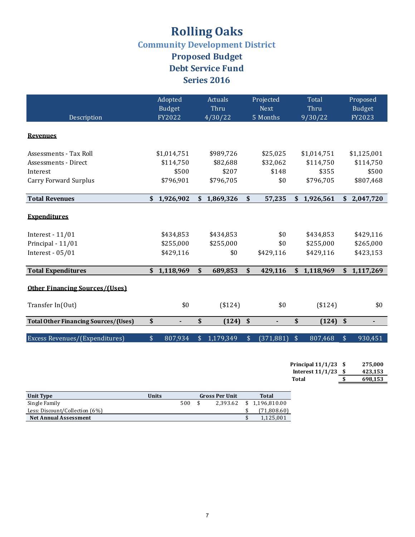## **Rolling Oaks**

**Community Development District** 

**Proposed Budget Debt Service Fund Series** 2016

|                                             | Adopted<br><b>Budget</b> | Actuals<br>Thru | Projected<br><b>Next</b> | Total<br>Thru | Proposed<br><b>Budget</b>              |
|---------------------------------------------|--------------------------|-----------------|--------------------------|---------------|----------------------------------------|
| Description                                 | FY2022                   | 4/30/22         | 5 Months                 | 9/30/22       | FY2023                                 |
| <b>Revenues</b>                             |                          |                 |                          |               |                                        |
| Assessments - Tax Roll                      | \$1,014,751              | \$989,726       | \$25,025                 | \$1,014,751   | \$1,125,001                            |
| Assessments - Direct                        | \$114,750                | \$82,688        | \$32,062                 | \$114,750     | \$114,750                              |
| Interest                                    | \$500                    | \$207           | \$148                    | \$355         | \$500                                  |
| <b>Carry Forward Surplus</b>                | \$796,901                | \$796,705       | \$0                      | \$796,705     | \$807,468                              |
|                                             |                          |                 |                          |               |                                        |
| <b>Total Revenues</b>                       | \$<br>1,926,902          | \$1,869,326     | \$<br>57,235             | \$1,926,561   | \$<br>2,047,720                        |
| <b>Expenditures</b>                         |                          |                 |                          |               |                                        |
| Interest - $11/01$                          | \$434,853                | \$434,853       | \$0                      | \$434,853     | \$429,116                              |
| Principal - 11/01                           | \$255,000                | \$255,000       | \$0                      | \$255,000     | \$265,000                              |
| Interest - $05/01$                          | \$429,116                | \$0             | \$429,116                | \$429,116     | \$423,153                              |
|                                             |                          |                 |                          |               |                                        |
| <b>Total Expenditures</b>                   | \$1,118,969              | \$<br>689,853   | \$<br>429,116            | \$1,118,969   | \$1,117,269                            |
| <b>Other Financing Sources/(Uses)</b>       |                          |                 |                          |               |                                        |
| Transfer In(Out)                            | \$0                      | ( \$124)        | \$0                      | ( \$124)      | \$0                                    |
| <b>Total Other Financing Sources/(Uses)</b> | \$                       | \$<br>(124)     | \$<br>$\blacksquare$     | \$<br>(124)   | $\sqrt{2}$<br>$\overline{\phantom{a}}$ |
|                                             |                          |                 |                          |               |                                        |
| Excess Revenues/(Expenditures)              | \$<br>807,934            | 1,179,349<br>\$ | \$<br>(371, 881)         | \$<br>807,468 | \$<br>930,451                          |

| Principal $11/1/23$ | - S | 275.000 |
|---------------------|-----|---------|
| Interest $11/1/23$  | S   | 423,153 |
| Total               | S   | 698.153 |

| <b>Unit Type</b>               | <b>Units</b> | <b>Gross Per Unit</b> |  |          |    | Total        |
|--------------------------------|--------------|-----------------------|--|----------|----|--------------|
| Single Family                  |              | 500                   |  | 2.393.62 | \$ | 1.196.810.00 |
| Less: Discount/Collection (6%) |              |                       |  |          |    | (71,808.60)  |
| <b>Net Annual Assessment</b>   |              |                       |  |          |    | 1.125.001    |
|                                |              |                       |  |          |    |              |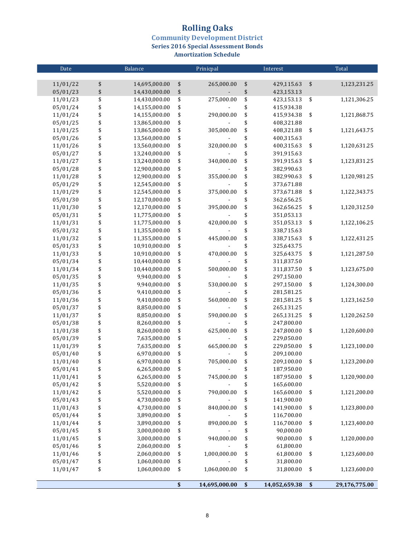### **Rolling Oaks**

**Community Development District<br>Series 2016 Special Assessment Bonds** 

**Amortization Schedule** 

| Date     |                   | Balance       | Prinicpal           |                   | Interest      | Total |               |  |
|----------|-------------------|---------------|---------------------|-------------------|---------------|-------|---------------|--|
|          |                   |               |                     |                   |               |       |               |  |
| 11/01/22 | \$                | 14,695,000.00 | \$<br>265,000.00    | \$                | 429,115.63    | \$    | 1,123,231.25  |  |
| 05/01/23 | $\boldsymbol{\$}$ | 14,430,000.00 | \$                  | $\boldsymbol{\$}$ | 423,153.13    |       |               |  |
| 11/01/23 | \$                | 14,430,000.00 | \$<br>275,000.00    | \$                | 423,153.13    | \$    | 1,121,306.25  |  |
| 05/01/24 | \$                | 14,155,000.00 | \$                  | \$                | 415,934.38    |       |               |  |
| 11/01/24 | \$                | 14,155,000.00 | \$<br>290,000.00    | \$                | 415,934.38    | \$    | 1,121,868.75  |  |
| 05/01/25 | \$                | 13,865,000.00 | \$                  | \$                | 408,321.88    |       |               |  |
| 11/01/25 | \$                | 13,865,000.00 | \$<br>305,000.00    | \$                | 408,321.88    | \$    | 1,121,643.75  |  |
| 05/01/26 | \$                | 13,560,000.00 | \$                  | \$                | 400,315.63    |       |               |  |
| 11/01/26 | \$                | 13,560,000.00 | \$<br>320,000.00    | \$                | 400,315.63    | \$    | 1,120,631.25  |  |
| 05/01/27 | \$                | 13,240,000.00 | \$                  | \$                | 391,915.63    |       |               |  |
| 11/01/27 | \$                | 13,240,000.00 | \$<br>340,000.00    | \$                | 391,915.63    | \$    | 1,123,831.25  |  |
| 05/01/28 | \$                | 12,900,000.00 | \$                  | \$                | 382,990.63    |       |               |  |
| 11/01/28 | \$                | 12,900,000.00 | \$<br>355,000.00    | \$                | 382,990.63    | \$    | 1,120,981.25  |  |
| 05/01/29 | \$                | 12,545,000.00 | \$                  | \$                | 373,671.88    |       |               |  |
| 11/01/29 | \$                | 12,545,000.00 | \$<br>375,000.00    | \$                | 373,671.88    | \$    | 1,122,343.75  |  |
| 05/01/30 | \$                | 12,170,000.00 | \$                  | \$                | 362,656.25    |       |               |  |
| 11/01/30 | \$                | 12,170,000.00 | \$<br>395,000.00    | \$                | 362,656.25    | \$    | 1,120,312.50  |  |
| 05/01/31 | \$                | 11,775,000.00 | \$                  | \$                | 351,053.13    |       |               |  |
| 11/01/31 | \$                | 11,775,000.00 | \$<br>420,000.00    | \$                | 351,053.13    | \$    | 1,122,106.25  |  |
| 05/01/32 | \$                | 11,355,000.00 | \$                  | \$                | 338,715.63    |       |               |  |
| 11/01/32 | \$                | 11,355,000.00 | \$<br>445,000.00    | \$                | 338,715.63    | \$    | 1,122,431.25  |  |
| 05/01/33 | \$                | 10,910,000.00 | \$                  | \$                | 325,643.75    |       |               |  |
| 11/01/33 | \$                | 10,910,000.00 | \$<br>470,000.00    | \$                | 325,643.75    | \$    | 1,121,287.50  |  |
| 05/01/34 | \$                | 10,440,000.00 | \$                  | \$                | 311,837.50    |       |               |  |
| 11/01/34 | \$                | 10,440,000.00 | \$<br>500,000.00    | \$                | 311,837.50    | \$    | 1,123,675.00  |  |
| 05/01/35 | \$                | 9,940,000.00  | \$                  | \$                | 297,150.00    |       |               |  |
| 11/01/35 | \$                | 9,940,000.00  | \$<br>530,000.00    | \$                | 297,150.00    | \$    | 1,124,300.00  |  |
| 05/01/36 | \$                | 9,410,000.00  | \$                  | \$                | 281,581.25    |       |               |  |
| 11/01/36 | \$                | 9,410,000.00  | \$<br>560,000.00    | \$                | 281,581.25    | \$    | 1,123,162.50  |  |
| 05/01/37 | \$                | 8,850,000.00  | \$                  | \$                | 265,131.25    |       |               |  |
| 11/01/37 | \$                | 8,850,000.00  | \$<br>590,000.00    | \$                | 265,131.25    | \$    | 1,120,262.50  |  |
| 05/01/38 | \$                | 8,260,000.00  | \$                  | \$                | 247,800.00    |       |               |  |
| 11/01/38 | \$                | 8,260,000.00  | \$<br>625,000.00    | \$                | 247,800.00    | \$    | 1,120,600.00  |  |
| 05/01/39 | \$                | 7,635,000.00  | \$                  | \$                | 229,050.00    |       |               |  |
| 11/01/39 | \$                | 7,635,000.00  | \$<br>665,000.00    | \$                | 229,050.00    | \$    | 1,123,100.00  |  |
| 05/01/40 | \$                | 6,970,000.00  | \$                  | \$                | 209,100.00    |       |               |  |
| 11/01/40 | \$                | 6,970,000.00  | \$<br>705,000.00    | \$                | 209,100.00    | \$    | 1,123,200.00  |  |
| 05/01/41 | \$                | 6,265,000.00  | \$                  | \$                | 187,950.00    |       |               |  |
| 11/01/41 | \$                | 6,265,000.00  | \$<br>745,000.00    | \$                | 187,950.00    | \$    | 1,120,900.00  |  |
| 05/01/42 | \$                | 5,520,000.00  | \$                  | \$                | 165,600.00    |       |               |  |
| 11/01/42 | \$                | 5,520,000.00  | \$<br>790,000.00    | \$                | 165,600.00    | \$    | 1,121,200.00  |  |
| 05/01/43 | \$                | 4,730,000.00  | \$                  | \$                | 141,900.00    |       |               |  |
| 11/01/43 | \$                | 4,730,000.00  | \$<br>840,000.00    | \$                | 141,900.00    | \$    | 1,123,800.00  |  |
| 05/01/44 | \$                | 3,890,000.00  | \$                  | \$                | 116,700.00    |       |               |  |
| 11/01/44 | \$                | 3,890,000.00  | \$<br>890,000.00    | \$                | 116,700.00    | \$    | 1,123,400.00  |  |
| 05/01/45 | \$                | 3,000,000.00  | \$                  | \$                | 90,000.00     |       |               |  |
| 11/01/45 | \$                | 3,000,000.00  | \$<br>940,000.00    | \$                | 90,000.00     | \$    | 1,120,000.00  |  |
| 05/01/46 | \$                | 2,060,000.00  | \$                  | \$                | 61,800.00     |       |               |  |
| 11/01/46 | \$                | 2,060,000.00  | \$<br>1,000,000.00  | \$                | 61,800.00     | \$    | 1,123,600.00  |  |
| 05/01/47 | \$                | 1,060,000.00  | \$                  | \$                | 31,800.00     |       |               |  |
| 11/01/47 | \$                | 1,060,000.00  | \$<br>1,060,000.00  | \$                | 31,800.00     | \$    | 1,123,600.00  |  |
|          |                   |               |                     |                   |               |       |               |  |
|          |                   |               | \$<br>14,695,000.00 | \$                | 14,052,659.38 | \$    | 29,176,775.00 |  |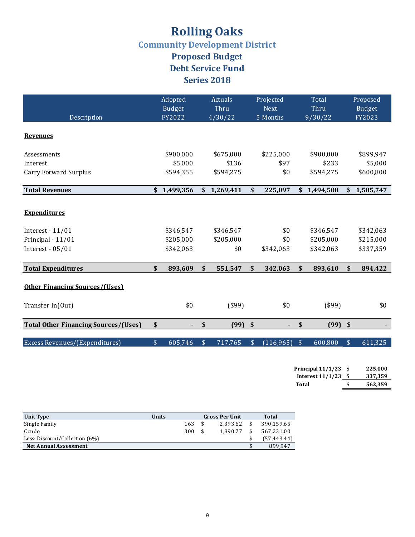## **Rolling Oaks**

**Community Development District** 

**Proposed Budget Debt Service Fund Series** 2018

|                                                                                      |                           | Adopted<br><b>Budget</b>            |                           | Actuals<br>Thru               |               | Projected<br><b>Next</b> |               | Total<br>Thru                       |                           | Proposed<br><b>Budget</b>           |
|--------------------------------------------------------------------------------------|---------------------------|-------------------------------------|---------------------------|-------------------------------|---------------|--------------------------|---------------|-------------------------------------|---------------------------|-------------------------------------|
| Description                                                                          |                           | FY2022                              |                           | 4/30/22                       |               | 5 Months                 |               | 9/30/22                             |                           | FY2023                              |
| <b>Revenues</b>                                                                      |                           |                                     |                           |                               |               |                          |               |                                     |                           |                                     |
| Assessments                                                                          |                           | \$900,000                           |                           | \$675,000                     |               | \$225,000                |               | \$900,000                           |                           | \$899,947                           |
| Interest                                                                             |                           | \$5,000                             |                           | \$136                         |               | \$97                     |               | \$233                               |                           | \$5,000                             |
| <b>Carry Forward Surplus</b>                                                         |                           | \$594,355                           |                           | \$594,275                     |               | \$0                      |               | \$594,275                           |                           | \$600,800                           |
| <b>Total Revenues</b>                                                                | \$                        | 1,499,356                           | \$                        | 1,269,411                     | \$            | 225,097                  |               | \$1,494,508                         | \$                        | 1,505,747                           |
| <b>Expenditures</b><br>Interest - $11/01$<br>Principal - 11/01<br>Interest - $05/01$ |                           | \$346,547<br>\$205,000<br>\$342,063 |                           | \$346,547<br>\$205,000<br>\$0 |               | \$0<br>\$0<br>\$342,063  |               | \$346,547<br>\$205,000<br>\$342,063 |                           | \$342,063<br>\$215,000<br>\$337,359 |
| <b>Total Expenditures</b>                                                            | $\boldsymbol{\mathsf{s}}$ | 893,609                             | \$                        | 551,547                       | \$            | 342,063                  | \$            | 893,610                             | \$                        | 894,422                             |
| <b>Other Financing Sources/(Uses)</b>                                                |                           |                                     |                           |                               |               |                          |               |                                     |                           |                                     |
| Transfer In(Out)                                                                     |                           | \$0                                 |                           | $($ \$99)                     |               | \$0                      |               | $($ \$99)                           |                           | \$0                                 |
| <b>Total Other Financing Sources/(Uses)</b>                                          | \$                        | ۰.                                  | $\boldsymbol{\mathsf{s}}$ | (99)                          | \$            |                          | \$            | (99)                                | $\boldsymbol{\mathsf{s}}$ |                                     |
| Excess Revenues/(Expenditures)                                                       | $\sqrt{\frac{1}{2}}$      | 605,746                             | $\frac{1}{2}$             | 717,765                       | $\frac{1}{2}$ | (116,965)                | $\frac{1}{2}$ | 600,800                             | $\frac{1}{2}$             | 611,325                             |

| Principal $11/1/23$ | - \$ | 225,000 |
|---------------------|------|---------|
| Interest $11/1/23$  | -S   | 337,359 |
| Total               | £.   | 562.359 |

| Unit Type                      | Units |     | <b>Gross Per Unit</b> | Total       |
|--------------------------------|-------|-----|-----------------------|-------------|
| Single Family                  |       | 163 | 2.393.62              | 390.159.65  |
| Condo                          |       | 300 | 1.890.77              | 567.231.00  |
| Less: Discount/Collection (6%) |       |     |                       | (57,443.44) |
| <b>Net Annual Assessment</b>   |       |     |                       | 899.947     |